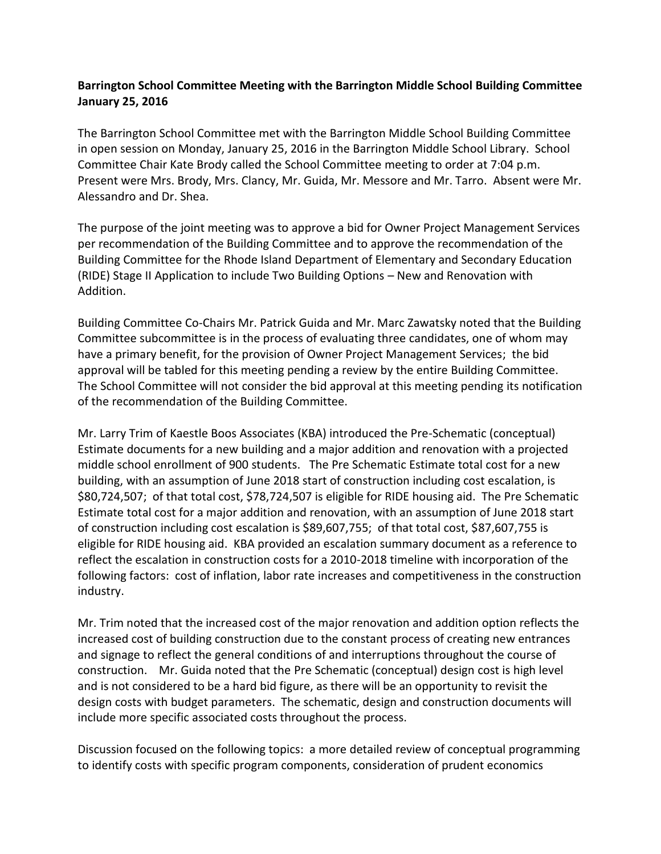## **Barrington School Committee Meeting with the Barrington Middle School Building Committee January 25, 2016**

The Barrington School Committee met with the Barrington Middle School Building Committee in open session on Monday, January 25, 2016 in the Barrington Middle School Library. School Committee Chair Kate Brody called the School Committee meeting to order at 7:04 p.m. Present were Mrs. Brody, Mrs. Clancy, Mr. Guida, Mr. Messore and Mr. Tarro. Absent were Mr. Alessandro and Dr. Shea.

The purpose of the joint meeting was to approve a bid for Owner Project Management Services per recommendation of the Building Committee and to approve the recommendation of the Building Committee for the Rhode Island Department of Elementary and Secondary Education (RIDE) Stage II Application to include Two Building Options – New and Renovation with Addition.

Building Committee Co-Chairs Mr. Patrick Guida and Mr. Marc Zawatsky noted that the Building Committee subcommittee is in the process of evaluating three candidates, one of whom may have a primary benefit, for the provision of Owner Project Management Services; the bid approval will be tabled for this meeting pending a review by the entire Building Committee. The School Committee will not consider the bid approval at this meeting pending its notification of the recommendation of the Building Committee.

Mr. Larry Trim of Kaestle Boos Associates (KBA) introduced the Pre-Schematic (conceptual) Estimate documents for a new building and a major addition and renovation with a projected middle school enrollment of 900 students. The Pre Schematic Estimate total cost for a new building, with an assumption of June 2018 start of construction including cost escalation, is \$80,724,507; of that total cost, \$78,724,507 is eligible for RIDE housing aid. The Pre Schematic Estimate total cost for a major addition and renovation, with an assumption of June 2018 start of construction including cost escalation is \$89,607,755; of that total cost, \$87,607,755 is eligible for RIDE housing aid. KBA provided an escalation summary document as a reference to reflect the escalation in construction costs for a 2010-2018 timeline with incorporation of the following factors: cost of inflation, labor rate increases and competitiveness in the construction industry.

Mr. Trim noted that the increased cost of the major renovation and addition option reflects the increased cost of building construction due to the constant process of creating new entrances and signage to reflect the general conditions of and interruptions throughout the course of construction. Mr. Guida noted that the Pre Schematic (conceptual) design cost is high level and is not considered to be a hard bid figure, as there will be an opportunity to revisit the design costs with budget parameters. The schematic, design and construction documents will include more specific associated costs throughout the process.

Discussion focused on the following topics: a more detailed review of conceptual programming to identify costs with specific program components, consideration of prudent economics